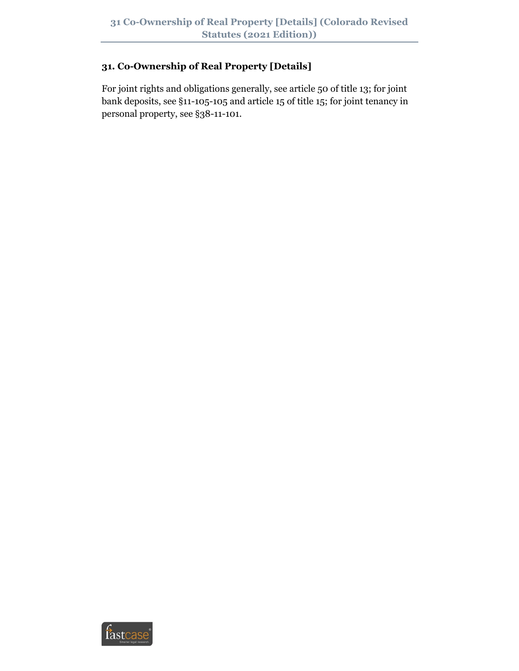# **31. Co-Ownership of Real Property [Details]**

For joint rights and obligations generally, see article 50 of title 13; for joint bank deposits, see §11-105-105 and article 15 of title 15; for joint tenancy in personal property, see §38-11-101.

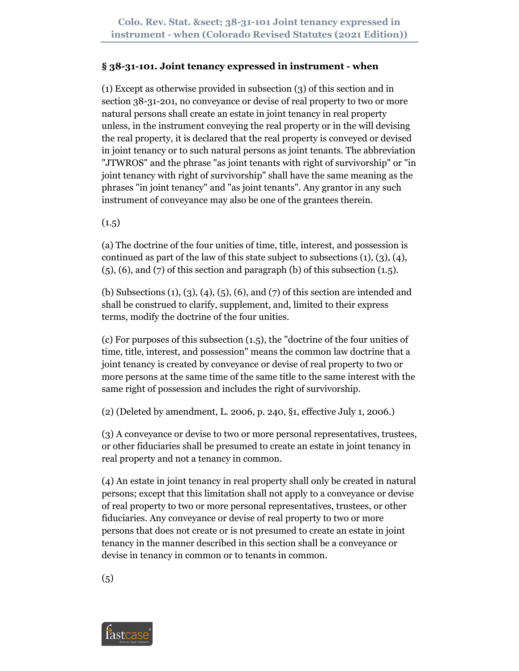### **§ 38-31-101. Joint tenancy expressed in instrument - when**

(1) Except as otherwise provided in subsection (3) of this section and in section 38-31-201, no conveyance or devise of real property to two or more natural persons shall create an estate in joint tenancy in real property unless, in the instrument conveying the real property or in the will devising the real property, it is declared that the real property is conveyed or devised in joint tenancy or to such natural persons as joint tenants. The abbreviation "JTWROS" and the phrase "as joint tenants with right of survivorship" or "in joint tenancy with right of survivorship" shall have the same meaning as the phrases "in joint tenancy" and "as joint tenants". Any grantor in any such instrument of conveyance may also be one of the grantees therein.

 $(1.5)$ 

(a) The doctrine of the four unities of time, title, interest, and possession is continued as part of the law of this state subject to subsections  $(1), (3), (4),$ (5), (6), and (7) of this section and paragraph (b) of this subsection (1.5).

(b) Subsections (1), (3), (4), (5), (6), and (7) of this section are intended and shall be construed to clarify, supplement, and, limited to their express terms, modify the doctrine of the four unities.

(c) For purposes of this subsection (1.5), the "doctrine of the four unities of time, title, interest, and possession" means the common law doctrine that a joint tenancy is created by conveyance or devise of real property to two or more persons at the same time of the same title to the same interest with the same right of possession and includes the right of survivorship.

(2) (Deleted by amendment, L. 2006, p. 240, §1, effective July 1, 2006.)

(3) A conveyance or devise to two or more personal representatives, trustees, or other fiduciaries shall be presumed to create an estate in joint tenancy in real property and not a tenancy in common.

(4) An estate in joint tenancy in real property shall only be created in natural persons; except that this limitation shall not apply to a conveyance or devise of real property to two or more personal representatives, trustees, or other fiduciaries. Any conveyance or devise of real property to two or more persons that does not create or is not presumed to create an estate in joint tenancy in the manner described in this section shall be a conveyance or devise in tenancy in common or to tenants in common.

(5)

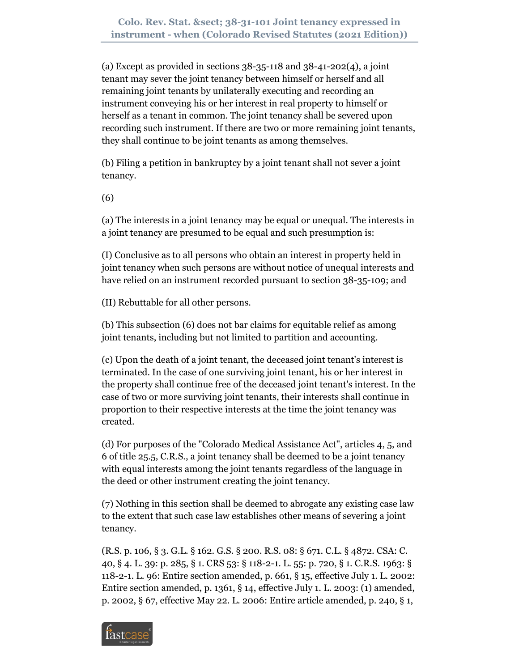(a) Except as provided in sections  $38-35-118$  and  $38-41-202(4)$ , a joint tenant may sever the joint tenancy between himself or herself and all remaining joint tenants by unilaterally executing and recording an instrument conveying his or her interest in real property to himself or herself as a tenant in common. The joint tenancy shall be severed upon recording such instrument. If there are two or more remaining joint tenants, they shall continue to be joint tenants as among themselves.

(b) Filing a petition in bankruptcy by a joint tenant shall not sever a joint tenancy.

(6)

(a) The interests in a joint tenancy may be equal or unequal. The interests in a joint tenancy are presumed to be equal and such presumption is:

(I) Conclusive as to all persons who obtain an interest in property held in joint tenancy when such persons are without notice of unequal interests and have relied on an instrument recorded pursuant to section 38-35-109; and

(II) Rebuttable for all other persons.

(b) This subsection (6) does not bar claims for equitable relief as among joint tenants, including but not limited to partition and accounting.

(c) Upon the death of a joint tenant, the deceased joint tenant's interest is terminated. In the case of one surviving joint tenant, his or her interest in the property shall continue free of the deceased joint tenant's interest. In the case of two or more surviving joint tenants, their interests shall continue in proportion to their respective interests at the time the joint tenancy was created.

(d) For purposes of the "Colorado Medical Assistance Act", articles 4, 5, and 6 of title 25.5, C.R.S., a joint tenancy shall be deemed to be a joint tenancy with equal interests among the joint tenants regardless of the language in the deed or other instrument creating the joint tenancy.

(7) Nothing in this section shall be deemed to abrogate any existing case law to the extent that such case law establishes other means of severing a joint tenancy.

(R.S. p. 106, § 3. G.L. § 162. G.S. § 200. R.S. 08: § 671. C.L. § 4872. CSA: C. 40, § 4. L. 39: p. 285, § 1. CRS 53: § 118-2-1. L. 55: p. 720, § 1. C.R.S. 1963: § 118-2-1. L. 96: Entire section amended, p. 661, § 15, effective July 1. L. 2002: Entire section amended, p. 1361, § 14, effective July 1. L. 2003: (1) amended, p. 2002, § 67, effective May 22. L. 2006: Entire article amended, p. 240, § 1,

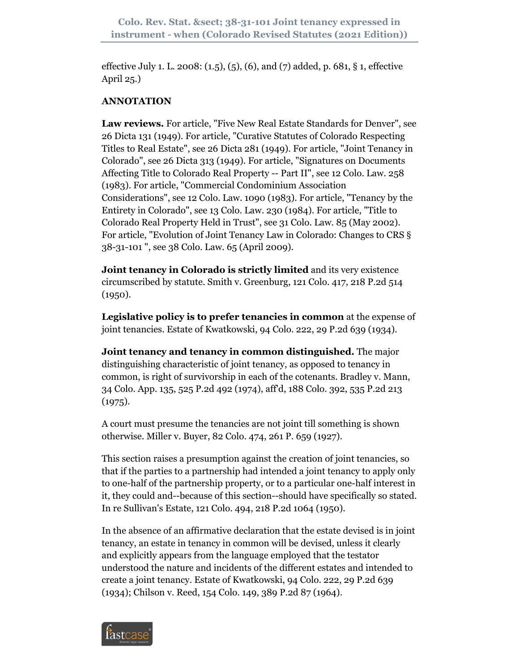effective July 1. L. 2008: (1.5), (5), (6), and (7) added, p. 681, § 1, effective April 25.)

### **ANNOTATION**

**Law reviews.** For article, "Five New Real Estate Standards for Denver", see 26 Dicta 131 (1949). For article, "Curative Statutes of Colorado Respecting Titles to Real Estate", see 26 Dicta 281 (1949). For article, "Joint Tenancy in Colorado", see 26 Dicta 313 (1949). For article, "Signatures on Documents Affecting Title to Colorado Real Property -- Part II", see 12 Colo. Law. 258 (1983). For article, "Commercial Condominium Association Considerations", see 12 Colo. Law. 1090 (1983). For article, "Tenancy by the Entirety in Colorado", see 13 Colo. Law. 230 (1984). For article, "Title to Colorado Real Property Held in Trust", see 31 Colo. Law. 85 (May 2002). For article, "Evolution of Joint Tenancy Law in Colorado: Changes to CRS § 38-31-101 ", see 38 Colo. Law. 65 (April 2009).

**Joint tenancy in Colorado is strictly limited** and its very existence circumscribed by statute. Smith v. Greenburg, 121 Colo. 417, 218 P.2d 514  $(1950).$ 

**Legislative policy is to prefer tenancies in common** at the expense of joint tenancies. Estate of Kwatkowski, 94 Colo. 222, 29 P.2d 639 (1934).

**Joint tenancy and tenancy in common distinguished.** The major distinguishing characteristic of joint tenancy, as opposed to tenancy in common, is right of survivorship in each of the cotenants. Bradley v. Mann, 34 Colo. App. 135, 525 P.2d 492 (1974), aff'd, 188 Colo. 392, 535 P.2d 213  $(1975).$ 

A court must presume the tenancies are not joint till something is shown otherwise. Miller v. Buyer, 82 Colo. 474, 261 P. 659 (1927).

This section raises a presumption against the creation of joint tenancies, so that if the parties to a partnership had intended a joint tenancy to apply only to one-half of the partnership property, or to a particular one-half interest in it, they could and--because of this section--should have specifically so stated. In re Sullivan's Estate, 121 Colo. 494, 218 P.2d 1064 (1950).

In the absence of an affirmative declaration that the estate devised is in joint tenancy, an estate in tenancy in common will be devised, unless it clearly and explicitly appears from the language employed that the testator understood the nature and incidents of the different estates and intended to create a joint tenancy. Estate of Kwatkowski, 94 Colo. 222, 29 P.2d 639 (1934); Chilson v. Reed, 154 Colo. 149, 389 P.2d 87 (1964).

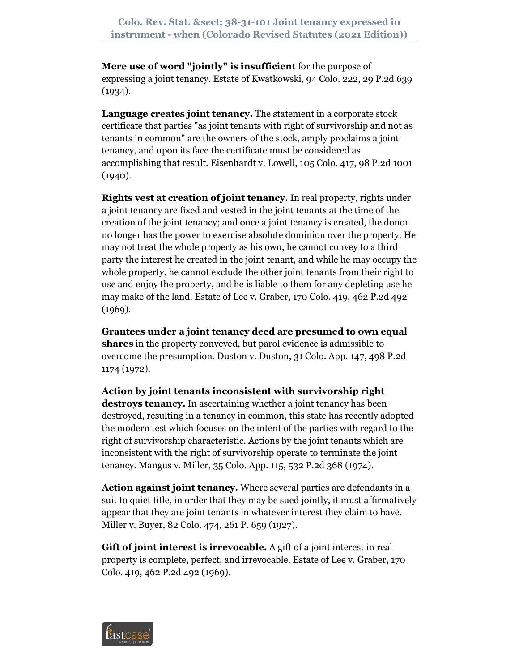**Mere use of word "jointly" is insufficient** for the purpose of expressing a joint tenancy. Estate of Kwatkowski, 94 Colo. 222, 29 P.2d 639  $(1934).$ 

**Language creates joint tenancy.** The statement in a corporate stock certificate that parties "as joint tenants with right of survivorship and not as tenants in common" are the owners of the stock, amply proclaims a joint tenancy, and upon its face the certificate must be considered as accomplishing that result. Eisenhardt v. Lowell, 105 Colo. 417, 98 P.2d 1001 (1940).

**Rights vest at creation of joint tenancy.** In real property, rights under a joint tenancy are fixed and vested in the joint tenants at the time of the creation of the joint tenancy; and once a joint tenancy is created, the donor no longer has the power to exercise absolute dominion over the property. He may not treat the whole property as his own, he cannot convey to a third party the interest he created in the joint tenant, and while he may occupy the whole property, he cannot exclude the other joint tenants from their right to use and enjoy the property, and he is liable to them for any depleting use he may make of the land. Estate of Lee v. Graber, 170 Colo. 419, 462 P.2d 492 (1969).

**Grantees under a joint tenancy deed are presumed to own equal shares** in the property conveyed, but parol evidence is admissible to overcome the presumption. Duston v. Duston, 31 Colo. App. 147, 498 P.2d 1174 (1972).

**Action by joint tenants inconsistent with survivorship right destroys tenancy.** In ascertaining whether a joint tenancy has been destroyed, resulting in a tenancy in common, this state has recently adopted the modern test which focuses on the intent of the parties with regard to the right of survivorship characteristic. Actions by the joint tenants which are inconsistent with the right of survivorship operate to terminate the joint tenancy. Mangus v. Miller, 35 Colo. App. 115, 532 P.2d 368 (1974).

**Action against joint tenancy.** Where several parties are defendants in a suit to quiet title, in order that they may be sued jointly, it must affirmatively appear that they are joint tenants in whatever interest they claim to have. Miller v. Buyer, 82 Colo. 474, 261 P. 659 (1927).

**Gift of joint interest is irrevocable.** A gift of a joint interest in real property is complete, perfect, and irrevocable. Estate of Lee v. Graber, 170 Colo. 419, 462 P.2d 492 (1969).

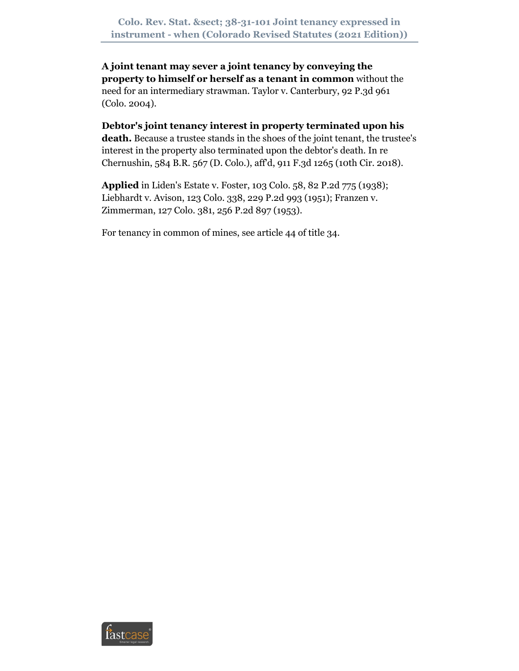**A joint tenant may sever a joint tenancy by conveying the property to himself or herself as a tenant in common** without the need for an intermediary strawman. Taylor v. Canterbury, 92 P.3d 961 (Colo. 2004).

**Debtor's joint tenancy interest in property terminated upon his death.** Because a trustee stands in the shoes of the joint tenant, the trustee's interest in the property also terminated upon the debtor's death. In re Chernushin, 584 B.R. 567 (D. Colo.), aff'd, 911 F.3d 1265 (10th Cir. 2018).

**Applied** in Liden's Estate v. Foster, 103 Colo. 58, 82 P.2d 775 (1938); Liebhardt v. Avison, 123 Colo. 338, 229 P.2d 993 (1951); Franzen v. Zimmerman, 127 Colo. 381, 256 P.2d 897 (1953).

For tenancy in common of mines, see article 44 of title 34.

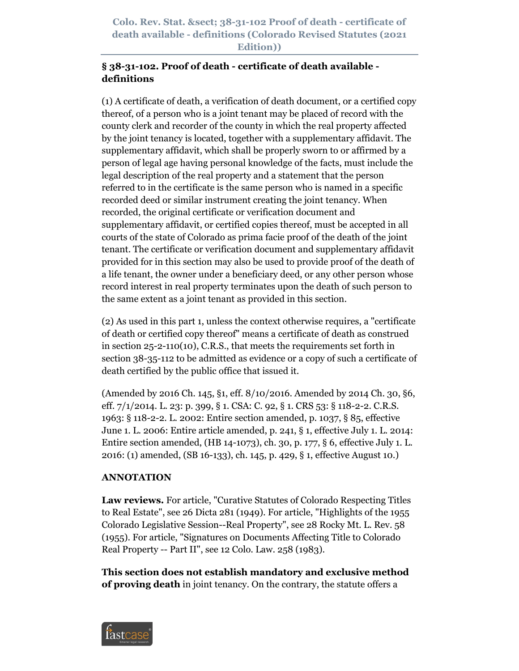**Colo. Rev. Stat. § 38-31-102 Proof of death - certificate of death available - definitions (Colorado Revised Statutes (2021 Edition))**

# **§ 38-31-102. Proof of death - certificate of death available definitions**

(1) A certificate of death, a verification of death document, or a certified copy thereof, of a person who is a joint tenant may be placed of record with the county clerk and recorder of the county in which the real property affected by the joint tenancy is located, together with a supplementary affidavit. The supplementary affidavit, which shall be properly sworn to or affirmed by a person of legal age having personal knowledge of the facts, must include the legal description of the real property and a statement that the person referred to in the certificate is the same person who is named in a specific recorded deed or similar instrument creating the joint tenancy. When recorded, the original certificate or verification document and supplementary affidavit, or certified copies thereof, must be accepted in all courts of the state of Colorado as prima facie proof of the death of the joint tenant. The certificate or verification document and supplementary affidavit provided for in this section may also be used to provide proof of the death of a life tenant, the owner under a beneficiary deed, or any other person whose record interest in real property terminates upon the death of such person to the same extent as a joint tenant as provided in this section.

(2) As used in this part 1, unless the context otherwise requires, a "certificate of death or certified copy thereof" means a certificate of death as construed in section 25-2-110(10), C.R.S., that meets the requirements set forth in section 38-35-112 to be admitted as evidence or a copy of such a certificate of death certified by the public office that issued it.

(Amended by 2016 Ch. 145, §1, eff. 8/10/2016. Amended by 2014 Ch. 30, §6, eff. 7/1/2014. L. 23: p. 399, § 1. CSA: C. 92, § 1. CRS 53: § 118-2-2. C.R.S. 1963: § 118-2-2. L. 2002: Entire section amended, p. 1037, § 85, effective June 1. L. 2006: Entire article amended, p. 241, § 1, effective July 1. L. 2014: Entire section amended, (HB 14-1073), ch. 30, p. 177, § 6, effective July 1. L. 2016: (1) amended, (SB 16-133), ch. 145, p. 429, § 1, effective August 10.)

## **ANNOTATION**

**Law reviews.** For article, "Curative Statutes of Colorado Respecting Titles to Real Estate", see 26 Dicta 281 (1949). For article, "Highlights of the 1955 Colorado Legislative Session--Real Property", see 28 Rocky Mt. L. Rev. 58 (1955). For article, "Signatures on Documents Affecting Title to Colorado Real Property -- Part II", see 12 Colo. Law. 258 (1983).

**This section does not establish mandatory and exclusive method of proving death** in joint tenancy. On the contrary, the statute offers a

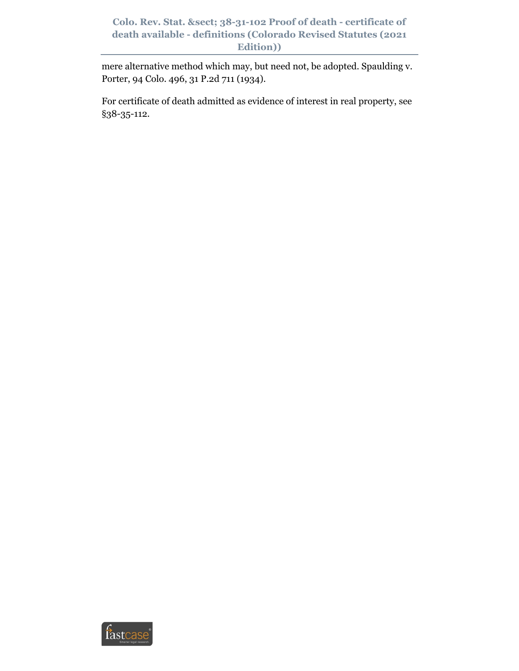**Colo. Rev. Stat. § 38-31-102 Proof of death - certificate of death available - definitions (Colorado Revised Statutes (2021 Edition))**

mere alternative method which may, but need not, be adopted. Spaulding v. Porter, 94 Colo. 496, 31 P.2d 711 (1934).

For certificate of death admitted as evidence of interest in real property, see §38-35-112.

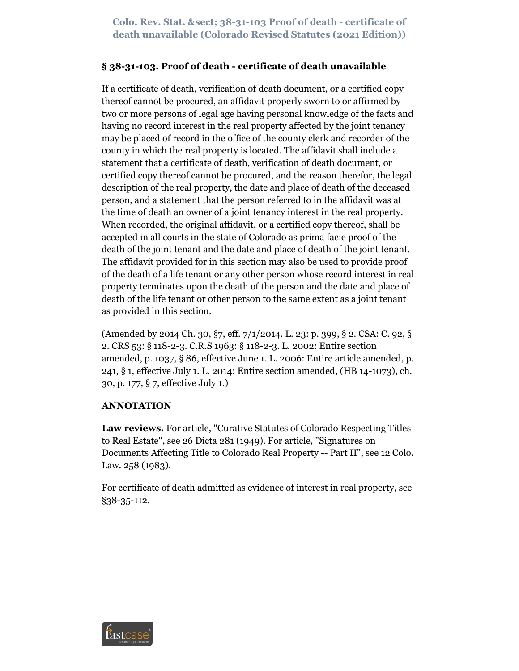## **§ 38-31-103. Proof of death - certificate of death unavailable**

If a certificate of death, verification of death document, or a certified copy thereof cannot be procured, an affidavit properly sworn to or affirmed by two or more persons of legal age having personal knowledge of the facts and having no record interest in the real property affected by the joint tenancy may be placed of record in the office of the county clerk and recorder of the county in which the real property is located. The affidavit shall include a statement that a certificate of death, verification of death document, or certified copy thereof cannot be procured, and the reason therefor, the legal description of the real property, the date and place of death of the deceased person, and a statement that the person referred to in the affidavit was at the time of death an owner of a joint tenancy interest in the real property. When recorded, the original affidavit, or a certified copy thereof, shall be accepted in all courts in the state of Colorado as prima facie proof of the death of the joint tenant and the date and place of death of the joint tenant. The affidavit provided for in this section may also be used to provide proof of the death of a life tenant or any other person whose record interest in real property terminates upon the death of the person and the date and place of death of the life tenant or other person to the same extent as a joint tenant as provided in this section.

(Amended by 2014 Ch. 30, §7, eff. 7/1/2014. L. 23: p. 399, § 2. CSA: C. 92, § 2. CRS 53: § 118-2-3. C.R.S 1963: § 118-2-3. L. 2002: Entire section amended, p. 1037, § 86, effective June 1. L. 2006: Entire article amended, p. 241, § 1, effective July 1. L. 2014: Entire section amended, (HB 14-1073), ch. 30, p. 177, § 7, effective July 1.)

### **ANNOTATION**

**Law reviews.** For article, "Curative Statutes of Colorado Respecting Titles to Real Estate", see 26 Dicta 281 (1949). For article, "Signatures on Documents Affecting Title to Colorado Real Property -- Part II", see 12 Colo. Law. 258 (1983).

For certificate of death admitted as evidence of interest in real property, see §38-35-112.

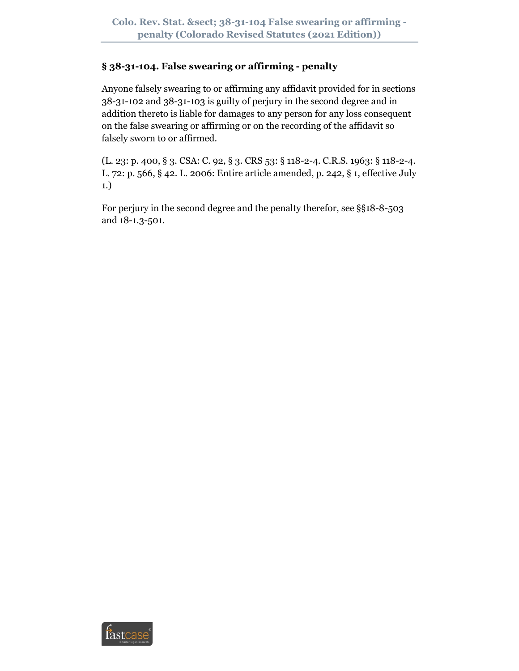## **§ 38-31-104. False swearing or affirming - penalty**

Anyone falsely swearing to or affirming any affidavit provided for in sections 38-31-102 and 38-31-103 is guilty of perjury in the second degree and in addition thereto is liable for damages to any person for any loss consequent on the false swearing or affirming or on the recording of the affidavit so falsely sworn to or affirmed.

(L. 23: p. 400, § 3. CSA: C. 92, § 3. CRS 53: § 118-2-4. C.R.S. 1963: § 118-2-4. L. 72: p. 566, § 42. L. 2006: Entire article amended, p. 242, § 1, effective July 1.)

For perjury in the second degree and the penalty therefor, see §§18-8-503 and 18-1.3-501.